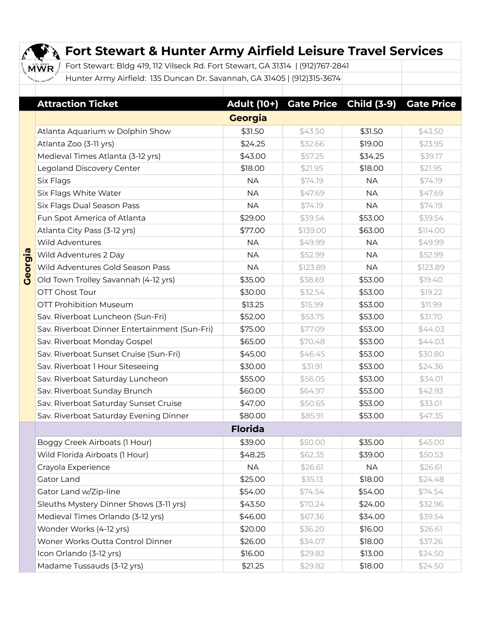|         | <b>Fort Stewart &amp; Hunter Army Airfield Leisure Travel Services</b>                |             |          |                               |                   |  |  |  |  |
|---------|---------------------------------------------------------------------------------------|-------------|----------|-------------------------------|-------------------|--|--|--|--|
|         | Fort Stewart: Bldg 419, 112 Vilseck Rd. Fort Stewart, GA 31314   (912)767-2841<br>MWR |             |          |                               |                   |  |  |  |  |
|         | Hunter Army Airfield: 135 Duncan Dr. Savannah, GA 31405   (912)315-3674               |             |          |                               |                   |  |  |  |  |
|         |                                                                                       |             |          |                               |                   |  |  |  |  |
|         | <b>Attraction Ticket</b>                                                              | Adult (10+) |          | <b>Gate Price Child (3-9)</b> | <b>Gate Price</b> |  |  |  |  |
|         | <b>Georgia</b>                                                                        |             |          |                               |                   |  |  |  |  |
|         | Atlanta Aquarium w Dolphin Show                                                       | \$31.50     | \$43.50  | \$31.50                       | \$43.50           |  |  |  |  |
|         | Atlanta Zoo (3-11 yrs)                                                                | \$24.25     | \$32.66  | \$19.00                       | \$23.95           |  |  |  |  |
|         | Medieval Times Atlanta (3-12 yrs)                                                     | \$43.00     | \$57.25  | \$34.25                       | \$39.17           |  |  |  |  |
|         | Legoland Discovery Center                                                             | \$18.00     | \$21.95  | \$18.00                       | \$21.95           |  |  |  |  |
|         | Six Flags                                                                             | <b>NA</b>   | \$74.19  | <b>NA</b>                     | \$74.19           |  |  |  |  |
|         | Six Flags White Water                                                                 | <b>NA</b>   | \$47.69  | <b>NA</b>                     | \$47.69           |  |  |  |  |
|         | Six Flags Dual Season Pass                                                            | <b>NA</b>   | \$74.19  | <b>NA</b>                     | \$74.19           |  |  |  |  |
|         | Fun Spot America of Atlanta                                                           | \$29.00     | \$39.54  | \$53.00                       | \$39.54           |  |  |  |  |
|         | Atlanta City Pass (3-12 yrs)                                                          | \$77.00     | \$139.00 | \$63.00                       | \$114.00          |  |  |  |  |
|         | <b>Wild Adventures</b>                                                                | <b>NA</b>   | \$49.99  | <b>NA</b>                     | \$49.99           |  |  |  |  |
|         | Wild Adventures 2 Day                                                                 | <b>NA</b>   | \$52.99  | <b>NA</b>                     | \$52.99           |  |  |  |  |
| Georgia | Wild Adventures Gold Season Pass                                                      | <b>NA</b>   | \$123.89 | <b>NA</b>                     | \$123.89          |  |  |  |  |
|         | Old Town Trolley Savannah (4-12 yrs)                                                  | \$35.00     | \$38.69  | \$53.00                       | \$19.40           |  |  |  |  |
|         | <b>OTT Ghost Tour</b>                                                                 | \$30.00     | \$32.54  | \$53.00                       | \$19.22           |  |  |  |  |
|         | <b>OTT Prohibition Museum</b>                                                         | \$13.25     | \$15.99  | \$53.00                       | \$11.99           |  |  |  |  |
|         | Sav. Riverboat Luncheon (Sun-Fri)                                                     | \$52.00     | \$53.75  | \$53.00                       | \$31.70           |  |  |  |  |
|         | Sav. Riverboat Dinner Entertainment (Sun-Fri)                                         | \$75.00     | \$77.09  | \$53.00                       | \$44.03           |  |  |  |  |
|         | Sav. Riverboat Monday Gospel                                                          | \$65.00     | \$70.48  | \$53.00                       | \$44.03           |  |  |  |  |
|         | Sav. Riverboat Sunset Cruise (Sun-Fri)                                                | \$45.00     | \$46.45  | \$53.00                       | \$30.80           |  |  |  |  |
|         | Sav. Riverboat 1 Hour Siteseeing                                                      | \$30.00     | \$31.91  | \$53.00                       | \$24.36           |  |  |  |  |
|         | Sav. Riverboat Saturday Luncheon                                                      | \$55.00     | \$56.05  | \$53.00                       | \$34.01           |  |  |  |  |
|         | Sav. Riverboat Sunday Brunch                                                          | \$60.00     | \$64.97  | \$53.00                       | \$42.93           |  |  |  |  |
|         | Sav. Riverboat Saturday Sunset Cruise                                                 | \$47.00     | \$50.65  | \$53.00                       | \$33.01           |  |  |  |  |
|         | Sav. Riverboat Saturday Evening Dinner                                                | \$80.00     | \$85.91  | \$53.00                       | \$47.35           |  |  |  |  |
|         | <b>Florida</b>                                                                        |             |          |                               |                   |  |  |  |  |
|         | Boggy Creek Airboats (1 Hour)                                                         | \$39.00     | \$50.00  | \$35.00                       | \$45.00           |  |  |  |  |
|         | Wild Florida Airboats (1 Hour)                                                        | \$48.25     | \$62.35  | \$39.00                       | \$50.53           |  |  |  |  |
|         | Crayola Experience                                                                    | <b>NA</b>   | \$26.61  | <b>NA</b>                     | \$26.61           |  |  |  |  |
|         | Gator Land                                                                            | \$25.00     | \$35.13  | \$18.00                       | \$24.48           |  |  |  |  |
|         | Gator Land w/Zip-line                                                                 | \$54.00     | \$74.54  | \$54.00                       | \$74.54           |  |  |  |  |
|         | Sleuths Mystery Dinner Shows (3-11 yrs)                                               | \$43.50     | \$70.24  | \$24.00                       | \$32.96           |  |  |  |  |
|         | Medieval Times Orlando (3-12 yrs)                                                     | \$46.00     | \$67.36  | \$34.00                       | \$39.54           |  |  |  |  |

**Wonder Works (4-12 yrs) 120.00 \$20.00** \$36.20 **\$16.00** \$26.61 Woner Works Outta Control Dinner 1990 \$26.00 \$34.07 \$18.00 \$37.26  $Icon Orlando (3-12 yrs)$   $\downarrow$  \$16.00  $\downarrow$  \$29.82 \$13.00 \$24.50 Madame Tussauds (3-12 yrs) <br>  $\begin{array}{ccc} \text{Madame Tussauds (3-12 yrs)} & \text{S21.25} \\ \text{S21.25} & \text{S29.82} \\ \text{S21.26} & \text{S21.27} \\ \text{S22.82} & \text{S21.28} \\ \text{S23.82} & \text{S22.82} \\ \text{S24.50} & \text{S24.50} \\ \text{S25.82} & \text{S21.28} \\ \text{S26.82} & \text{S21.28} \\ \text$